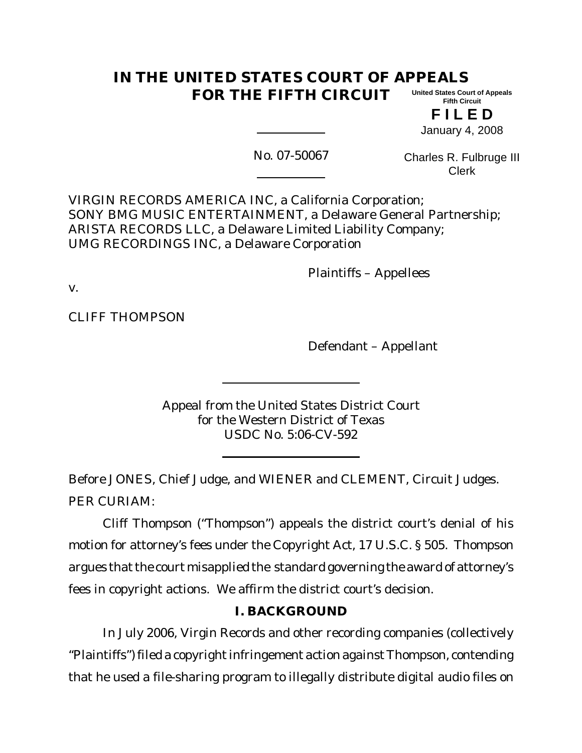#### **IN THE UNITED STATES COURT OF APPEALS FOR THE FIFTH CIRCUIT United States Court of Appeals Fifth Circuit**

**F I L E D** January 4, 2008

No. 07-50067

Charles R. Fulbruge III Clerk

VIRGIN RECORDS AMERICA INC, a California Corporation; SONY BMG MUSIC ENTERTAINMENT, a Delaware General Partnership; ARISTA RECORDS LLC, a Delaware Limited Liability Company; UMG RECORDINGS INC, a Delaware Corporation

Plaintiffs – Appellees

v.

CLIFF THOMPSON

Defendant – Appellant

Appeal from the United States District Court for the Western District of Texas USDC No. 5:06-CV-592

Before JONES, Chief Judge, and WIENER and CLEMENT, Circuit Judges. PER CURIAM:

Cliff Thompson ("Thompson") appeals the district court's denial of his motion for attorney's fees under the Copyright Act, 17 U.S.C. § 505. Thompson argues that the court misapplied the standard governing the award of attorney's fees in copyright actions. We affirm the district court's decision.

# **I. BACKGROUND**

In July 2006, Virgin Records and other recording companies (collectively "Plaintiffs") filed a copyright infringement action against Thompson, contending that he used a file-sharing program to illegally distribute digital audio files on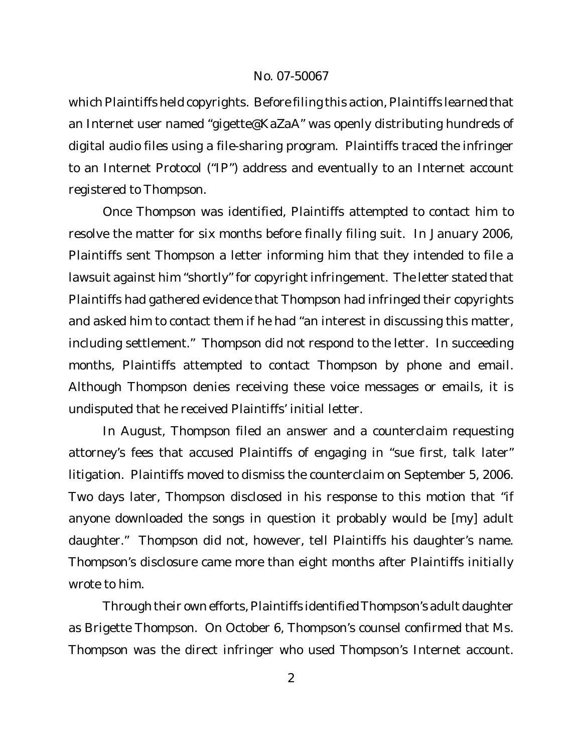which Plaintiffs held copyrights. Before filing this action, Plaintiffs learned that an Internet user named "gigette@KaZaA" was openly distributing hundreds of digital audio files using a file-sharing program. Plaintiffs traced the infringer to an Internet Protocol ("IP") address and eventually to an Internet account registered to Thompson.

Once Thompson was identified, Plaintiffs attempted to contact him to resolve the matter for six months before finally filing suit. In January 2006, Plaintiffs sent Thompson a letter informing him that they intended to file a lawsuit against him "shortly" for copyright infringement. The letter stated that Plaintiffs had gathered evidence that Thompson had infringed their copyrights and asked him to contact them if he had "an interest in discussing this matter, including settlement." Thompson did not respond to the letter. In succeeding months, Plaintiffs attempted to contact Thompson by phone and email. Although Thompson denies receiving these voice messages or emails, it is undisputed that he received Plaintiffs' initial letter.

In August, Thompson filed an answer and a counterclaim requesting attorney's fees that accused Plaintiffs of engaging in "sue first, talk later" litigation. Plaintiffs moved to dismiss the counterclaim on September 5, 2006. Two days later, Thompson disclosed in his response to this motion that "if anyone downloaded the songs in question it probably would be [my] adult daughter." Thompson did not, however, tell Plaintiffs his daughter's name. Thompson's disclosure came more than eight months after Plaintiffs initially wrote to him.

Through their own efforts, Plaintiffs identified Thompson's adult daughter as Brigette Thompson. On October 6, Thompson's counsel confirmed that Ms. Thompson was the direct infringer who used Thompson's Internet account.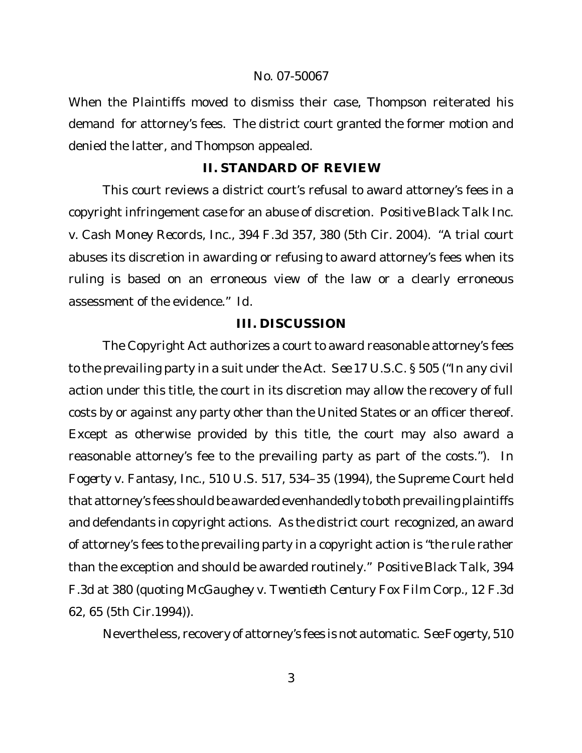When the Plaintiffs moved to dismiss their case, Thompson reiterated his demand for attorney's fees. The district court granted the former motion and denied the latter, and Thompson appealed.

# **II. STANDARD OF REVIEW**

This court reviews a district court's refusal to award attorney's fees in a copyright infringement case for an abuse of discretion. *Positive Black Talk Inc. v. Cash Money Records, Inc.*, 394 F.3d 357, 380 (5th Cir. 2004). "A trial court abuses its discretion in awarding or refusing to award attorney's fees when its ruling is based on an erroneous view of the law or a clearly erroneous assessment of the evidence." *Id*.

# **III. DISCUSSION**

The Copyright Act authorizes a court to award reasonable attorney's fees to the prevailing party in a suit under the Act. *See* 17 U.S.C. § 505 ("In any civil action under this title, the court in its discretion may allow the recovery of full costs by or against any party other than the United States or an officer thereof. Except as otherwise provided by this title, the court may also award a reasonable attorney's fee to the prevailing party as part of the costs."). In *Fogerty v. Fantasy, Inc*., 510 U.S. 517, 534–35 (1994), the Supreme Court held that attorney's fees should be awarded evenhandedly to both prevailing plaintiffs and defendants in copyright actions. As the district court recognized, an award of attorney's fees to the prevailing party in a copyright action is "the rule rather than the exception and should be awarded routinely." *Positive Black Talk*, 394 F.3d at 380 (quoting *McGaughey v. Twentieth Century Fox Film Corp.*, 12 F.3d 62, 65 (5th Cir.1994)).

Nevertheless, recovery of attorney's fees is not automatic. *See Fogerty,* 510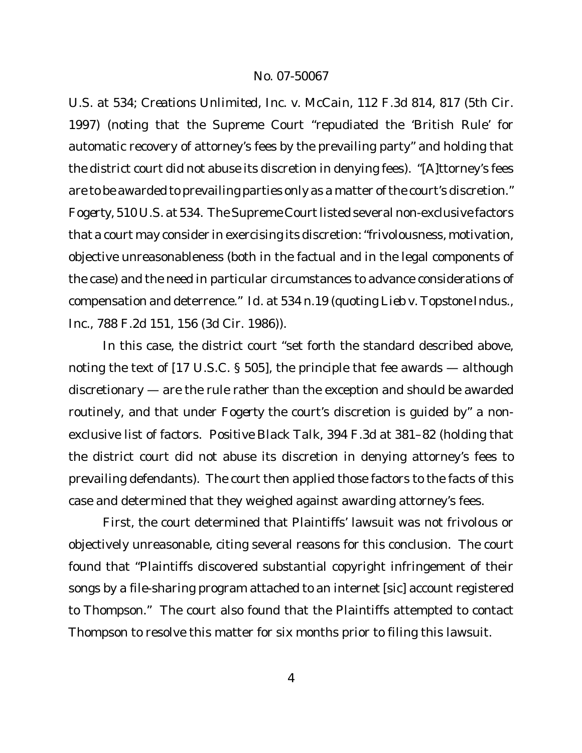U.S. at 534; *Creations Unlimited, Inc. v. McCain*, 112 F.3d 814, 817 (5th Cir. 1997) (noting that the Supreme Court "repudiated the 'British Rule' for automatic recovery of attorney's fees by the prevailing party" and holding that the district court did not abuse its discretion in denying fees). "[A]ttorney's fees are to be awarded to prevailing parties only as a matter of the court's discretion." *Fogerty,* 510 U.S. at 534*.* The Supreme Court listed several non-exclusive factors that a court may consider in exercising its discretion:"frivolousness, motivation, objective unreasonableness (both in the factual and in the legal components of the case) and the need in particular circumstances to advance considerations of compensation and deterrence." *Id.* at 534 n.19 (quoting *Lieb v. Topstone Indus*.*, Inc.*, 788 F.2d 151, 156 (3d Cir. 1986)).

In this case, the district court "set forth the standard described above, noting the text of [17 U.S.C. § 505], the principle that fee awards — although discretionary — are the rule rather than the exception and should be awarded routinely, and that under *Fogerty* the court's discretion is guided by" a nonexclusive list of factors. *Positive Black Talk*, 394 F.3d at 381–82 (holding that the district court did not abuse its discretion in denying attorney's fees to prevailing defendants). The court then applied those factors to the facts of this case and determined that they weighed against awarding attorney's fees.

First, the court determined that Plaintiffs' lawsuit was not frivolous or objectively unreasonable, citing several reasons for this conclusion. The court found that "Plaintiffs discovered substantial copyright infringement of their songs by a file-sharing program attached to an internet [sic] account registered to Thompson." The court also found that the Plaintiffs attempted to contact Thompson to resolve this matter for six months prior to filing this lawsuit.